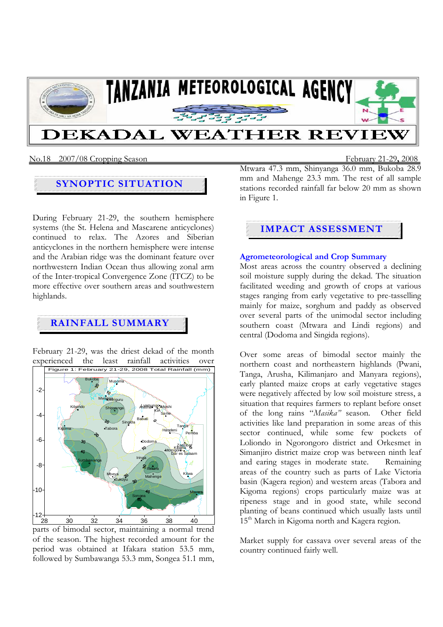

### No.18 2007/08 Cropping Season February 21-29**,** 2008

## **SYNOPTIC SITUATION**

During February 21-29, the southern hemisphere systems (the St. Helena and Mascarene anticyclones) continued to relax. The Azores and Siberian anticyclones in the northern hemisphere were intense and the Arabian ridge was the dominant feature over northwestern Indian Ocean thus allowing zonal arm of the Inter-tropical Convergence Zone (ITCZ) to be more effective over southern areas and southwestern highlands.

# **RAINFALL SUMMARY**

February 21-29, was the driest dekad of the month experienced the least rainfall activities over



parts of bimodal sector, maintaining a normal trend of the season. The highest recorded amount for the period was obtained at Ifakara station 53.5 mm, followed by Sumbawanga 53.3 mm, Songea 51.1 mm,

Mtwara 47.3 mm, Shinyanga 36.0 mm, Bukoba 28.9 mm and Mahenge 23.3 mm. The rest of all sample stations recorded rainfall far below 20 mm as shown in Figure 1.

## **IMPACT ASSESSMENT**

## **Agrometeorological and Crop Summary**

Most areas across the country observed a declining soil moisture supply during the dekad. The situation facilitated weeding and growth of crops at various stages ranging from early vegetative to pre-tasselling mainly for maize, sorghum and paddy as observed over several parts of the unimodal sector including southern coast (Mtwara and Lindi regions) and central (Dodoma and Singida regions).

Over some areas of bimodal sector mainly the northern coast and northeastern highlands (Pwani, Tanga, Arusha, Kilimanjaro and Manyara regions), early planted maize crops at early vegetative stages were negatively affected by low soil moisture stress, a situation that requires farmers to replant before onset of the long rains "*Masika"* season. Other field activities like land preparation in some areas of this sector continued, while some few pockets of Loliondo in Ngorongoro district and Orkesmet in Simanjiro district maize crop was between ninth leaf and earing stages in moderate state. Remaining areas of the country such as parts of Lake Victoria basin (Kagera region) and western areas (Tabora and Kigoma regions) crops particularly maize was at ripeness stage and in good state, while second planting of beans continued which usually lasts until 15<sup>th</sup> March in Kigoma north and Kagera region.

Market supply for cassava over several areas of the country continued fairly well.